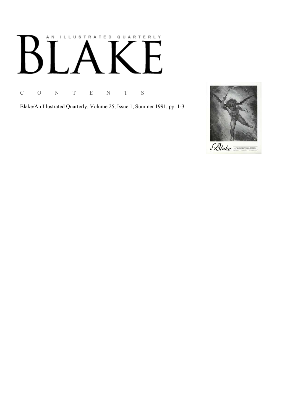# AN ILLUSTRATED QUARTERLY  $\mathbb{R}^n$ Ӄ

C O N T E N T S

Blake/An Illustrated Quarterly, Volume 25, Issue 1, Summer 1991, pp. 1-3

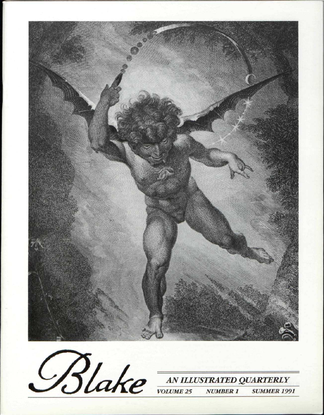



**SUMMER 1991**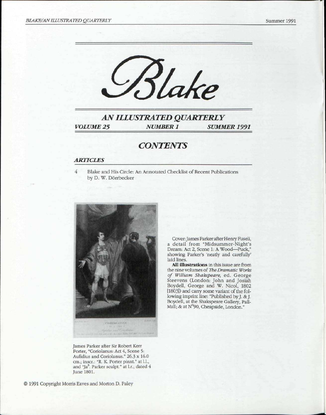

*AN ILLUSTRATED QUARTERLY VOLUME 25 NUMBER 1 SUMMER 1991* 

### *CONTENTS*

#### *ARTICLES*

 $\overline{4}$ 

Blake and His Circle: An Annotated Checklist of Recent Publications by D. W. Dörrbecker



Cover: James Parker after Henry Fuseli, a detail from "Midsummer-Night's Dream: Act 2, Scene 1: A Wood—Puck," showing Parker's 'neatly and carefully' laid lines.

All illustrations in this issue are from the nine volumes of *The Dramatic Works of William Shakspeare,* ed. George Steevens (London: John and Josiah Boydell, George and W. Nicol, 1802 [ 18031) and cany some variant of the following imprint line: "Published by J. & J. Boydell, at the Shakspeare Gallery, Pall-Mail; & at N°90, Cheapside, London."

James Parker after Sir Robert Kerr Porter, "Coriolanus: Act 4, Scene 5: Aufidius and Coriolanus." 26.3 x 16.0 cm.; inscr.: "R. K. Porter pinxt." at 1.1., and "Ja<sup>s</sup>. Parker sculpt." at l.r.; dated 4 June 1801.

©1991 Copyright Morris Eaves and Morton D. Paley